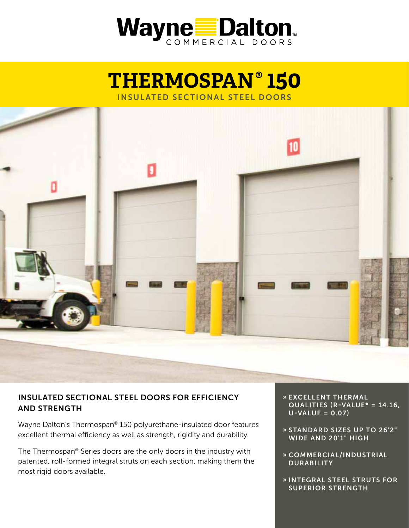

# **THERMOSPAN® 150** INSULATED SECTIONAL STEEL DOORS



# INSULATED SECTIONAL STEEL DOORS FOR EFFICIENCY AND STRENGTH

Wayne Dalton's Thermospan® 150 polyurethane-insulated door features excellent thermal efficiency as well as strength, rigidity and durability.

The Thermospan® Series doors are the only doors in the industry with patented, roll-formed integral struts on each section, making them the most rigid doors available.

- » EXCELLENT THERMAL QUALITIES (R-VALUE\* = 14.16,  $U-VALUE = 0.07$
- » STANDARD SIZES UP TO 26'2" WIDE AND 20'1" HIGH
- » COMMERCIAL/INDUSTRIAL **DURABILITY**
- » INTEGRAL STEEL STRUTS FOR SUPERIOR STRENGTH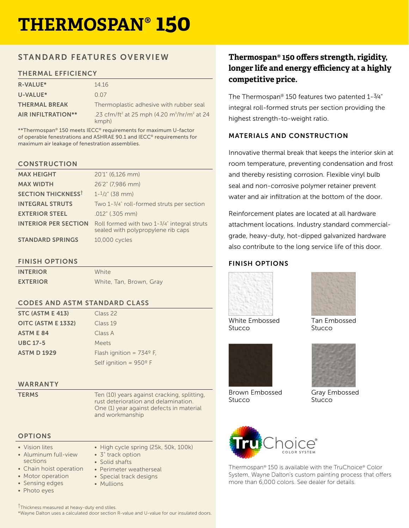# **THERMOSPAN® 150**

# STANDARD FEATURES OVERVIEW

## THERMAL EFFICIENCY

| <b>R-VALUE*</b>           | 14 16                                                                                    |
|---------------------------|------------------------------------------------------------------------------------------|
| U-VALUE*                  | 0.07                                                                                     |
| <b>THERMAL BREAK</b>      | Thermoplastic adhesive with rubber seal                                                  |
| <b>AIR INFILTRATION**</b> | .23 cfm/ft <sup>2</sup> at 25 mph (4.20 m <sup>3</sup> /hr/m <sup>2</sup> at 24<br>kmph) |

\*\*Thermospan® 150 meets IECC® requirements for maximum U-factor of operable fenestrations and ASHRAE 90.1 and IECC® requirements for maximum air leakage of fenestration assemblies.

#### **CONSTRUCTION**

| <b>MAX HEIGHT</b>           | 20'1" (6,126 mm)                                                                     |
|-----------------------------|--------------------------------------------------------------------------------------|
| <b>MAX WIDTH</b>            | 26'2" (7,986 mm)                                                                     |
| <b>SECTION THICKNESST</b>   | $1 - \frac{1}{2}$ (38 mm)                                                            |
| <b>INTEGRAL STRUTS</b>      | Two 1-3/4" roll-formed struts per section                                            |
| <b>EXTERIOR STEEL</b>       | .012" (.305 mm)                                                                      |
| <b>INTERIOR PER SECTION</b> | Roll formed with two $1-3/4$ " integral struts<br>sealed with polypropylene rib caps |
| <b>STANDARD SPRINGS</b>     | 10,000 cycles                                                                        |

# FINISH OPTIONS

| <b>INTERIOR</b> | White                   |
|-----------------|-------------------------|
| <b>EXTERIOR</b> | White, Tan, Brown, Gray |

### CODES AND ASTM STANDARD CLASS

| STC (ASTM E 413)   | Class 22                          |
|--------------------|-----------------------------------|
| OITC (ASTM E 1332) | Class 19                          |
| <b>ASTM E 84</b>   | Class A                           |
| <b>UBC 17-5</b>    | Meets                             |
| <b>ASTM D 1929</b> | Flash ignition = $734^{\circ}$ F, |
|                    | Self ignition = $950^{\circ}$ F   |

#### WARRANTY

**TERMS** Ten (10) years against cracking, splitting, rust deterioration and delamination. One (1) year against defects in material and workmanship

# **OPTIONS**

• Vision lites

- Aluminum full-view sections
- Chain hoist operation
- Motor operation
- Sensing edges
- Photo eyes
- High cycle spring (25k, 50k, 100k) • 3" track option • Solid shafts
- Perimeter weatherseal
- Special track designs
- Mullions

†Thickness measured at heavy-duty end stiles. \*Wayne Dalton uses a calculated door section R-value and U-value for our insulated doors.

# **Thermospan® 150 offers strength, rigidity, longer life and energy efficiency at a highly competitive price.**

The Thermospan® 150 features two patented 1-3⁄4" integral roll-formed struts per section providing the highest strength-to-weight ratio.

# MATERIALS AND CONSTRUCTION

Innovative thermal break that keeps the interior skin at room temperature, preventing condensation and frost and thereby resisting corrosion. Flexible vinyl bulb seal and non-corrosive polymer retainer prevent water and air infiltration at the bottom of the door.

Reinforcement plates are located at all hardware attachment locations. Industry standard commercialgrade, heavy-duty, hot-dipped galvanized hardware also contribute to the long service life of this door.

# FINISH OPTIONS



White Embossed **Stucco** 



Brown Embossed **Stucco** 



Tan Embossed Stucco



Gray Embossed **Stucco** 



Thermospan® 150 is available with the TruChoice® Color System, Wayne Dalton's custom painting process that offers more than 6,000 colors. See dealer for details.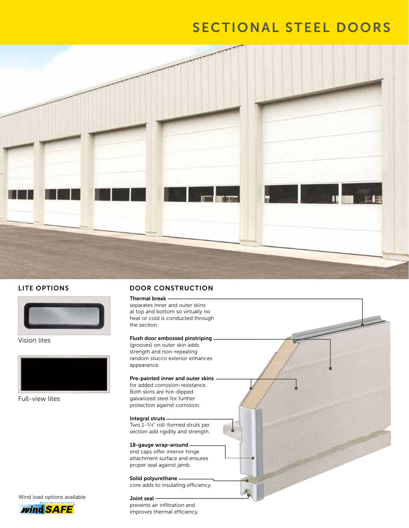# SECTIONAL STEEL DOORS



#### LITE OPTIONS



Vision lites



Full-view lites

Wind load options available

*wind SAFE* 

# DOOR CONSTRUCTION

Thermal break separates inner and outer skins at top and bottom so virtually no heat or cold is conducted through the section.

#### Flush door embossed pinstriping

(grooves) on outer skin adds strength and non-repeating random stucco exterior enhances appearance.

#### Pre-painted inner and outer skins

for added corrosion-resistance. Both skins are hot-dipped galvanized steel for further protection against corrosion.

#### Integral struts

Two 1-3/4" roll-formed struts per section add rigidity and strength.

#### 18-gauge wrap-around

end caps offer interior hinge attachment surface and ensures proper seal against jamb.

#### Solid polyurethane core adds to insulating efficiency.

#### Joint seal

prevents air infiltration and improves thermal efficiency.